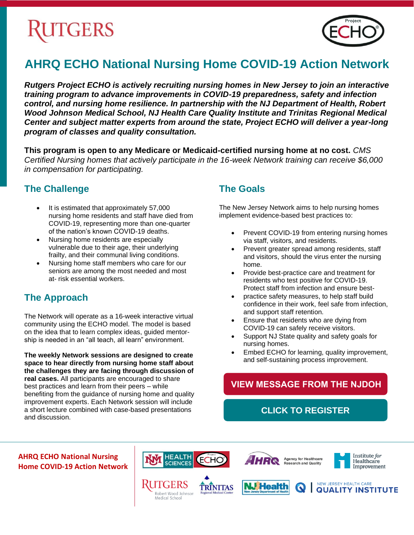# **GERS**



# **AHRQ ECHO National Nursing Home COVID-19 Action Network**

*Rutgers Project ECHO is actively recruiting nursing homes in New Jersey to join an interactive training program to advance improvements in COVID-19 preparedness, safety and infection control, and nursing home resilience. In partnership with the NJ Department of Health, Robert Wood Johnson Medical School, NJ Health Care Quality Institute and Trinitas Regional Medical Center and subject matter experts from around the state, Project ECHO will deliver a year-long program of classes and quality consultation.*

**This program is open to any Medicare or Medicaid-certified nursing home at no cost.** *CMS Certified Nursing homes that actively participate in the 16-week Network training can receive \$6,000 in compensation for participating.*

#### **The Challenge**

- It is estimated that approximately 57,000 nursing home residents and staff have died from COVID-19, representing more than one-quarter of the nation's known COVID-19 deaths.
- Nursing home residents are especially vulnerable due to their age, their underlying frailty, and their communal living conditions.
- Nursing home staff members who care for our seniors are among the most needed and most at- risk essential workers.

## **The Approach**

The Network will operate as a 16-week interactive virtual community using the ECHO model. The model is based on the idea that to learn complex ideas, guided mentorship is needed in an "all teach, all learn" environment.

**The weekly Network sessions are designed to create space to hear directly from nursing home staff about the challenges they are facing through discussion of real cases.** All participants are encouraged to share best practices and learn from their peers – while benefiting from the guidance of nursing home and quality improvement experts. Each Network session will include a short lecture combined with case-based presentations and discussion.

#### **The Goals**

The New Jersey Network aims to help nursing homes implement evidence-based best practices to:

- Prevent COVID-19 from entering nursing homes via staff, visitors, and residents.
- Prevent greater spread among residents, staff and visitors, should the virus enter the nursing home.
- Provide best-practice care and treatment for residents who test positive for COVID-19. Protect staff from infection and ensure best-
- practice safety measures, to help staff build confidence in their work, feel safe from infection, and support staff retention.
- Ensure that residents who are dying from COVID-19 can safely receive visitors.
- Support NJ State quality and safety goals for nursing homes.
- Embed ECHO for learning, quality improvement, and self-sustaining process improvement.

## **[VIEW MESSAGE FROM THE NJDOH](http://bit.ly/echo-more-info)**

**[CLICK TO REGISTER](http://bit.ly/echo-register)** 

**AHRQ ECHO National Nursing Home COVID-19 Action Network**